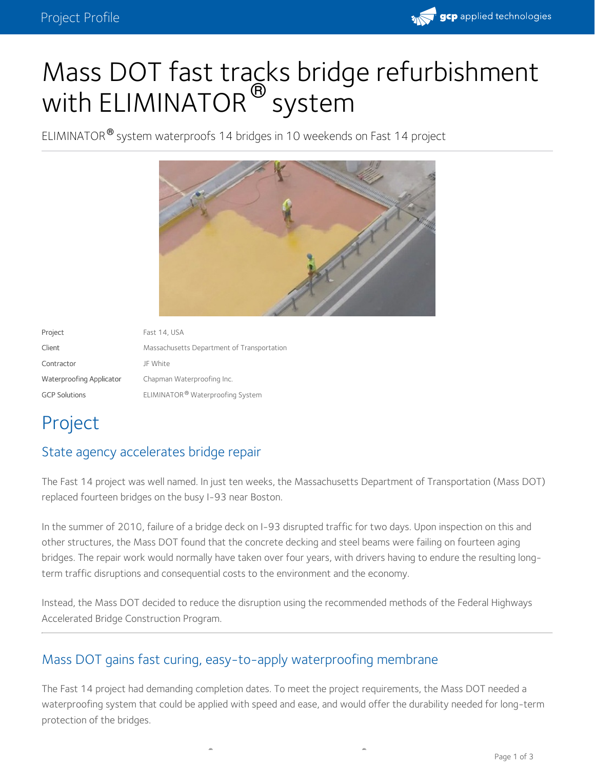

# Mass DOT fast tracks bridge refurbishment with ELIMINATOR  $^\circledR$  system

ELIMINATOR<sup>®</sup> system waterproofs 14 bridges in 10 weekends on Fast 14 project



| Project                  | Fast 14, USA                               |
|--------------------------|--------------------------------------------|
| Client                   | Massachusetts Department of Transportation |
| Contractor               | JF White                                   |
| Waterproofing Applicator | Chapman Waterproofing Inc.                 |
| <b>GCP Solutions</b>     | ELIMINATOR® Waterproofing System           |

# Project

### State agency accelerates bridge repair

The Fast 14 project was well named. In just ten weeks, the Massachusetts Department of Transportation (Mass DOT) replaced fourteen bridges on the busy I-93 near Boston.

In the summer of 2010, failure of a bridge deck on I-93 disrupted traffic for two days. Upon inspection on this and other structures, the Mass DOT found that the concrete decking and steel beams were failing on fourteen aging bridges. The repair work would normally have taken over four years, with drivers having to endure the resulting longterm traffic disruptions and consequential costs to the environment and the economy.

Instead, the Mass DOT decided to reduce the disruption using the recommended methods of the Federal Highways Accelerated Bridge Construction Program.

### Mass DOT gains fast curing, easy-to-apply waterproofing membrane

The Fast 14 project had demanding completion dates. To meet the project requirements, the Mass DOT needed a waterproofing system that could be applied with speed and ease, and would offer the durability needed for long-term protection of the bridges.

**® ®**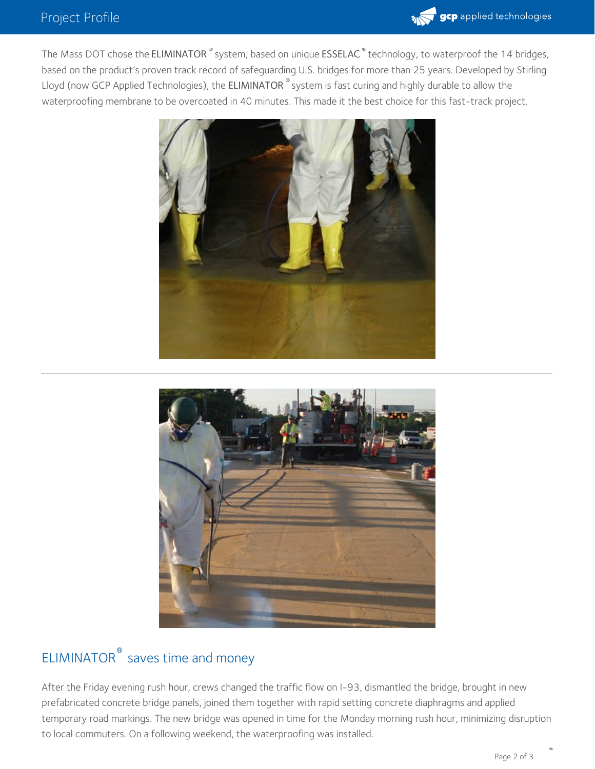

The Mass DOT chose the ELIMINATOR  $^{\infty}$  system, based on unique ESSELAC  $^{\infty}$  technology, to waterproof the 14 bridges, based on the product's proven track record of safeguarding U.S. bridges for more than 25 years. Developed by Stirling Lloyd (now GCP Applied Technologies), the ELIMINATOR  $^\circ$  system is fast curing and highly durable to allow the waterproofing membrane to be overcoated in 40 minutes. This made it the best choice for this fast-track project.





## ELIMINATOR<sup>®</sup> saves time and money

After the Friday evening rush hour, crews changed the traffic flow on I-93, dismantled the bridge, brought in new prefabricated concrete bridge panels, joined them together with rapid setting concrete diaphragms and applied temporary road markings. The new bridge was opened in time for the Monday morning rush hour, minimizing disruption to local commuters. On a following weekend, the waterproofing was installed.

**®**